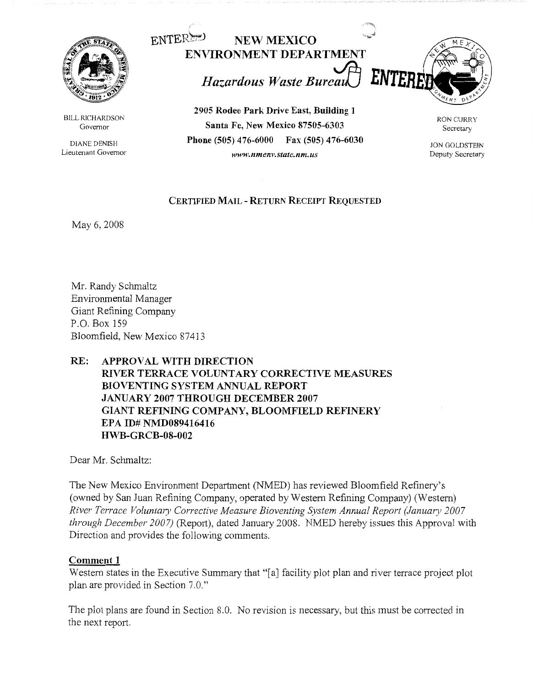

BILL RICHARDSON Governor

DIANE DENISH Lieutenant Governor



**2905 Rodeo Park Drive East, Building 1 Santa Fe, New Mexico 87505-6303 Phone (505) 476-6000 Fax (505) 476-6030**  *www.nmenJ•.state.nm.us* 

RON CURRY Secretary

JON GOLDSTEIN Deputy Secretary

## **CERTIFIED MAIL** - **RETURN RECEIPT REQUESTED**

May 6, 2008

Mr. Randy Schmaltz Environmental Manager Giant Refining Company P.O. Box 159 Bloomfield, New Mexico 87413

# **RE: APPROVAL WITH DIRECTION RIVER TERRACE VOLUNTARY CORRECTIVE MEASURES BIOVENTING SYSTEM ANNUAL REPORT JANUARY 2007 THROUGH DECEMBER 2007 GIANT REFINING COMPANY, BLOOMFIELD REFINERY EPA ID# NMD089416416 ffWB-GRCB-08-002**

Dear Mr. Schmaltz:

The New Mexico Environment Department (NMED) has reviewed Bloomfield Refinery's (owned by San Juan Refining Company, operated by Western Refining Company) (Western) *River Terrace Voluntary Corrective Measure Bioventing System Annual Report (January 2007 through December 2007)* (Report), dated January 2008. NMED hereby issues this Approval with Direction and provides the following comments.

### **Comment 1**

Western states in the Executive Summary that "[a] facility plot plan and river terrace project plot plan are provided in Section 7.0."

The plot plans are found in Section 8.0. No revision is necessary, but this must be corrected in the next report.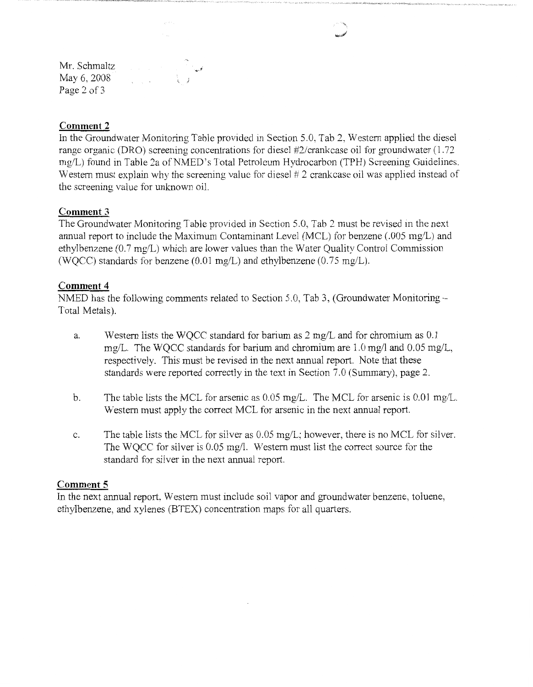Mr. Schmaltz May 6, 2008 Page 2 of 3

### **Comment 2**

In the Groundwater Monitoring Table provided in Section 5.0, Tab 2, Western applied the diesel range organic (DRO) screening concentrations for diesel #2/crankcase oil for groundwater (1.72 mg/L) found in Table 2a of NMED's Total Petroleum Hydrocarbon (TPH) Screening Guidelines. Western must explain why the screening value for diesel # 2 crankcase oil was applied instead of the screening value for unknown oil.

### **Comment** 3

The Groundwater Monitoring Table provided in Section 5.0, Tab 2 must be revised in the next annual report to include the Maximum Contaminant Level (MCL) for benzene (.005 mg/L) and ethylbenzene (0.7 mg/L) which are lower values than the Water Quality Control Commission (WQCC) standards for benzene (0.01 mg/L) and ethylbenzene (0.75 mg/L).

#### Comment 4

NMED has the following comments related to Section 5.0, Tab 3, (Groundwater Monitoring-Total Metals).

- a. Western lists the WQCC standard for barium as 2 mg/Land for chromium as 0.1 mg/L. The WQCC standards for barium and chromium are 1.0 mg/1 and 0.05 mg/L, respectively. This must be revised in the next annual report. Note that these standards were reported correctly in the text in Section 7.0 (Summary), page 2.
- b. The table lists the MCL for arsenic as 0.05 mg/L. The MCL for arsenic is 0.01 mg/L. Western must apply the correct MCL for arsenic in the next annual report.
- c. The table lists the MCL for silver as 0.05 mg/L; however, there is no MCL for silver. The WQCC for silver is 0.05 mg/1. Western must list the correct source for the standard for silver in the next annual report.

#### **Comment 5**

In the next annual report, Western must include soil vapor and groundwater benzene, toluene, ethylbenzene, and xylenes (BTEX) concentration maps for all quarters.